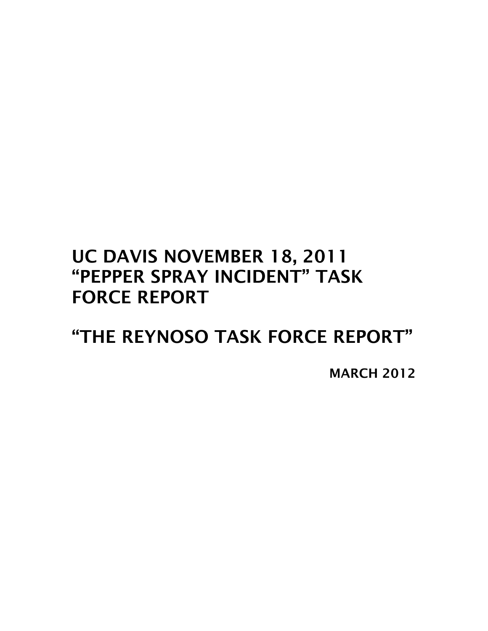# UC DAVIS NOVEMBER 18, 2011 "PEPPER SPRAY INCIDENT" TASK FORCE REPORT

"THE REYNOSO TASK FORCE REPORT"

MARCH 2012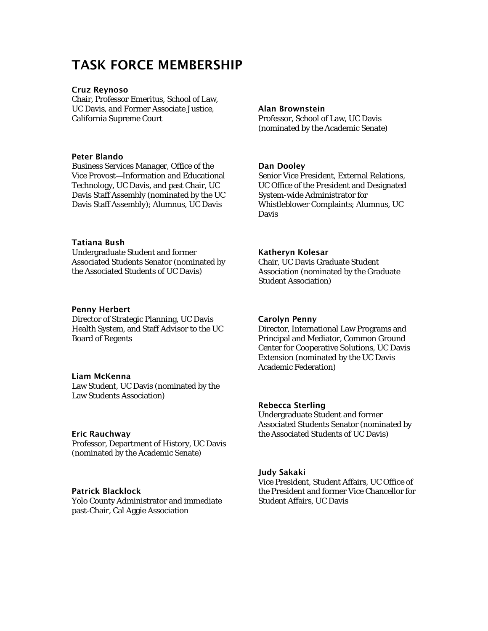# TASK FORCE MEMBERSHIP

#### Cruz Reynoso

Chair, Professor Emeritus, School of Law, UC Davis, and Former Associate Justice, California Supreme Court

#### Peter Blando

Business Services Manager, Office of the Vice Provost—Information and Educational Technology, UC Davis, and past Chair, UC Davis Staff Assembly (nominated by the UC Davis Staff Assembly); Alumnus, UC Davis

#### Tatiana Bush

Undergraduate Student and former Associated Students Senator (nominated by the Associated Students of UC Davis)

#### Penny Herbert

Director of Strategic Planning, UC Davis Health System, and Staff Advisor to the UC Board of Regents

#### Liam McKenna

Law Student, UC Davis (nominated by the Law Students Association)

#### Eric Rauchway

Professor, Department of History, UC Davis (nominated by the Academic Senate)

#### Patrick Blacklock

Yolo County Administrator and immediate past-Chair, Cal Aggie Association

#### Alan Brownstein

Professor, School of Law, UC Davis (nominated by the Academic Senate)

#### Dan Dooley

Senior Vice President, External Relations, UC Office of the President and Designated System-wide Administrator for Whistleblower Complaints; Alumnus, UC Davis

#### Katheryn Kolesar

Chair, UC Davis Graduate Student Association (nominated by the Graduate Student Association)

#### Carolyn Penny

Director, International Law Programs and Principal and Mediator, Common Ground Center for Cooperative Solutions, UC Davis Extension (nominated by the UC Davis Academic Federation)

#### Rebecca Sterling

Undergraduate Student and former Associated Students Senator (nominated by the Associated Students of UC Davis)

#### Judy Sakaki

Vice President, Student Affairs, UC Office of the President and former Vice Chancellor for Student Affairs, UC Davis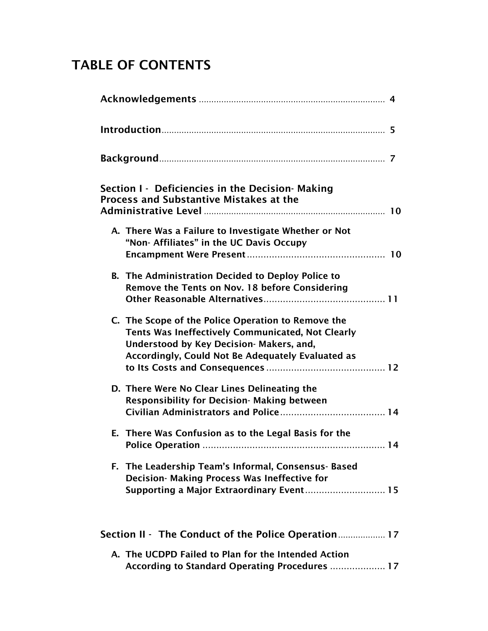# TABLE OF CONTENTS

| Section I - Deficiencies in the Decision-Making<br><b>Process and Substantive Mistakes at the</b>                                                                                                        |  |
|----------------------------------------------------------------------------------------------------------------------------------------------------------------------------------------------------------|--|
| A. There Was a Failure to Investigate Whether or Not<br>"Non- Affiliates" in the UC Davis Occupy                                                                                                         |  |
| <b>B.</b> The Administration Decided to Deploy Police to<br>Remove the Tents on Nov. 18 before Considering                                                                                               |  |
| C. The Scope of the Police Operation to Remove the<br>Tents Was Ineffectively Communicated, Not Clearly<br>Understood by Key Decision- Makers, and,<br>Accordingly, Could Not Be Adequately Evaluated as |  |
| D. There Were No Clear Lines Delineating the<br><b>Responsibility for Decision- Making between</b>                                                                                                       |  |
| E. There Was Confusion as to the Legal Basis for the                                                                                                                                                     |  |
| F. The Leadership Team's Informal, Consensus-Based<br>Decision- Making Process Was Ineffective for<br>Supporting a Major Extraordinary Event 15                                                          |  |
| Section II - The Conduct of the Police Operation 17                                                                                                                                                      |  |
| A. The UCDPD Failed to Plan for the Intended Action<br>According to Standard Operating Procedures  17                                                                                                    |  |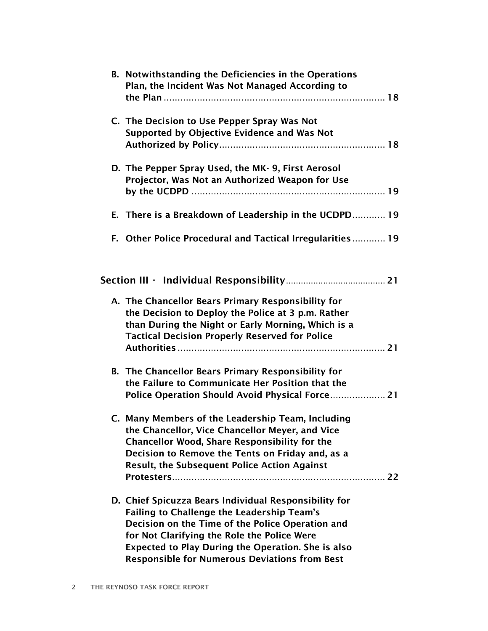| B. Notwithstanding the Deficiencies in the Operations<br>Plan, the Incident Was Not Managed According to                                                                                                                                                                                                                           |
|------------------------------------------------------------------------------------------------------------------------------------------------------------------------------------------------------------------------------------------------------------------------------------------------------------------------------------|
|                                                                                                                                                                                                                                                                                                                                    |
| C. The Decision to Use Pepper Spray Was Not<br>Supported by Objective Evidence and Was Not                                                                                                                                                                                                                                         |
| D. The Pepper Spray Used, the MK-9, First Aerosol<br>Projector, Was Not an Authorized Weapon for Use                                                                                                                                                                                                                               |
| E. There is a Breakdown of Leadership in the UCDPD 19                                                                                                                                                                                                                                                                              |
| F. Other Police Procedural and Tactical Irregularities 19                                                                                                                                                                                                                                                                          |
|                                                                                                                                                                                                                                                                                                                                    |
| A. The Chancellor Bears Primary Responsibility for<br>the Decision to Deploy the Police at 3 p.m. Rather<br>than During the Night or Early Morning, Which is a<br><b>Tactical Decision Properly Reserved for Police</b>                                                                                                            |
|                                                                                                                                                                                                                                                                                                                                    |
| <b>B.</b> The Chancellor Bears Primary Responsibility for<br>the Failure to Communicate Her Position that the                                                                                                                                                                                                                      |
| C. Many Members of the Leadership Team, Including<br>the Chancellor, Vice Chancellor Meyer, and Vice<br><b>Chancellor Wood, Share Responsibility for the</b><br>Decision to Remove the Tents on Friday and, as a<br><b>Result, the Subsequent Police Action Against</b>                                                            |
| D. Chief Spicuzza Bears Individual Responsibility for<br><b>Failing to Challenge the Leadership Team's</b><br>Decision on the Time of the Police Operation and<br>for Not Clarifying the Role the Police Were<br><b>Expected to Play During the Operation. She is also</b><br><b>Responsible for Numerous Deviations from Best</b> |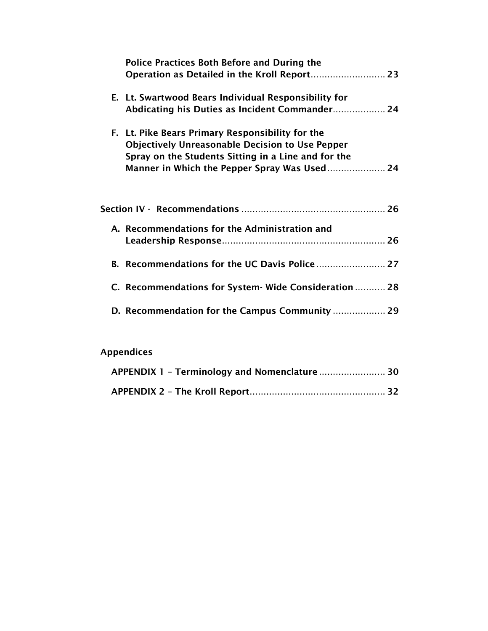| <b>Police Practices Both Before and During the</b>     |  |
|--------------------------------------------------------|--|
|                                                        |  |
| E. Lt. Swartwood Bears Individual Responsibility for   |  |
| Abdicating his Duties as Incident Commander 24         |  |
| F. Lt. Pike Bears Primary Responsibility for the       |  |
| <b>Objectively Unreasonable Decision to Use Pepper</b> |  |
| Spray on the Students Sitting in a Line and for the    |  |
|                                                        |  |
|                                                        |  |
|                                                        |  |
| A. Recommendations for the Administration and          |  |
|                                                        |  |
|                                                        |  |
|                                                        |  |
| C. Recommendations for System-Wide Consideration  28   |  |
|                                                        |  |
|                                                        |  |

# Appendices

| APPENDIX 1 - Terminology and Nomenclature 30 |  |
|----------------------------------------------|--|
|                                              |  |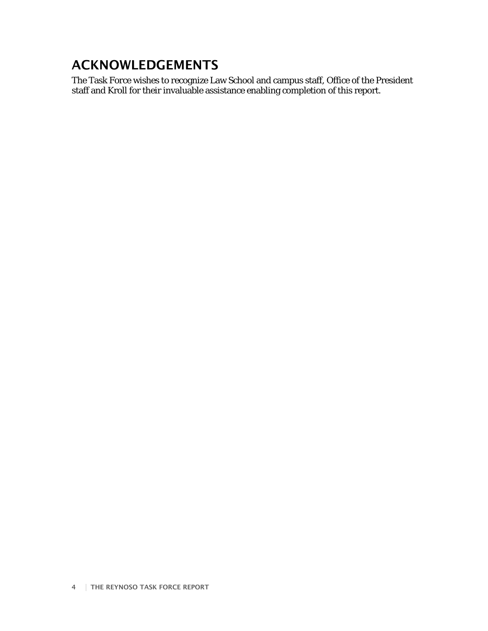# ACKNOWLEDGEMENTS

The Task Force wishes to recognize Law School and campus staff, Office of the President staff and Kroll for their invaluable assistance enabling completion of this report.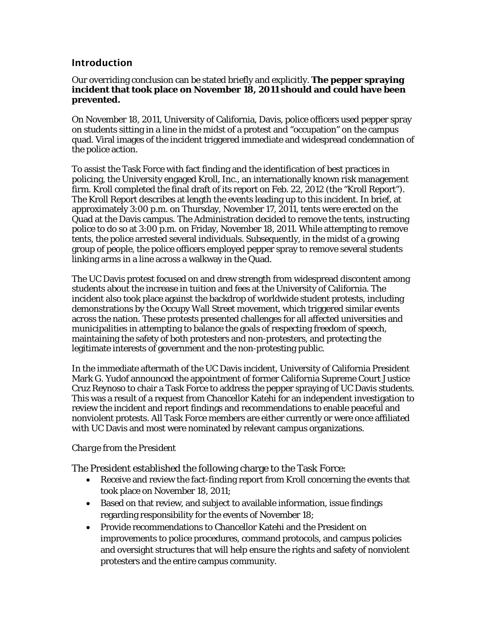## **Introduction**

### Our overriding conclusion can be stated briefly and explicitly. **The pepper spraying incident that took place on November 18, 2011 should and could have been prevented.**

On November 18, 2011, University of California, Davis, police officers used pepper spray on students sitting in a line in the midst of a protest and "occupation" on the campus quad. Viral images of the incident triggered immediate and widespread condemnation of the police action.

To assist the Task Force with fact finding and the identification of best practices in policing, the University engaged Kroll, Inc., an internationally known risk management firm. Kroll completed the final draft of its report on Feb. 22, 2012 (the "Kroll Report"). The Kroll Report describes at length the events leading up to this incident. In brief, at approximately 3:00 p.m. on Thursday, November 17, 2011, tents were erected on the Quad at the Davis campus. The Administration decided to remove the tents, instructing police to do so at 3:00 p.m. on Friday, November 18, 2011. While attempting to remove tents, the police arrested several individuals. Subsequently, in the midst of a growing group of people, the police officers employed pepper spray to remove several students linking arms in a line across a walkway in the Quad.

The UC Davis protest focused on and drew strength from widespread discontent among students about the increase in tuition and fees at the University of California. The incident also took place against the backdrop of worldwide student protests, including demonstrations by the Occupy Wall Street movement, which triggered similar events across the nation. These protests presented challenges for all affected universities and municipalities in attempting to balance the goals of respecting freedom of speech, maintaining the safety of both protesters and non-protesters, and protecting the legitimate interests of government and the non-protesting public.

In the immediate aftermath of the UC Davis incident, University of California President Mark G. Yudof announced the appointment of former California Supreme Court Justice Cruz Reynoso to chair a Task Force to address the pepper spraying of UC Davis students. This was a result of a request from Chancellor Katehi for an independent investigation to review the incident and report findings and recommendations to enable peaceful and nonviolent protests. All Task Force members are either currently or were once affiliated with UC Davis and most were nominated by relevant campus organizations.

## *Charge from the President*

The President established the following charge to the Task Force:

- Receive and review the fact-finding report from Kroll concerning the events that took place on November 18, 2011;
- Based on that review, and subject to available information, issue findings regarding responsibility for the events of November 18;
- Provide recommendations to Chancellor Katehi and the President on improvements to police procedures, command protocols, and campus policies and oversight structures that will help ensure the rights and safety of nonviolent protesters and the entire campus community.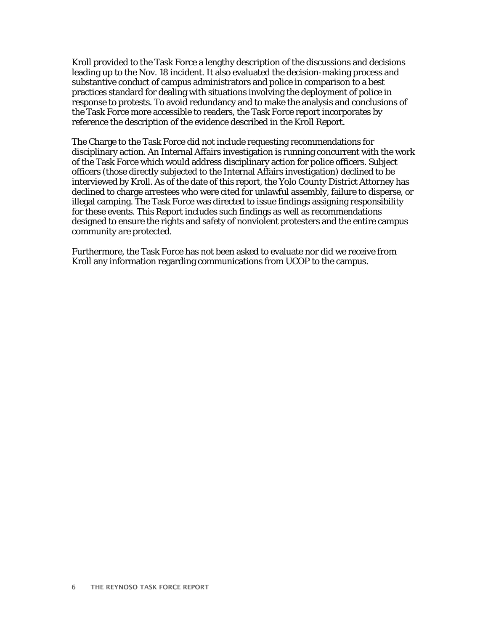Kroll provided to the Task Force a lengthy description of the discussions and decisions leading up to the Nov. 18 incident. It also evaluated the decision-making process and substantive conduct of campus administrators and police in comparison to a best practices standard for dealing with situations involving the deployment of police in response to protests. To avoid redundancy and to make the analysis and conclusions of the Task Force more accessible to readers, the Task Force report incorporates by reference the description of the evidence described in the Kroll Report.

The Charge to the Task Force did not include requesting recommendations for disciplinary action. An Internal Affairs investigation is running concurrent with the work of the Task Force which would address disciplinary action for police officers. Subject officers (those directly subjected to the Internal Affairs investigation) declined to be interviewed by Kroll. As of the date of this report, the Yolo County District Attorney has declined to charge arrestees who were cited for unlawful assembly, failure to disperse, or illegal camping. The Task Force was directed to issue findings assigning responsibility for these events. This Report includes such findings as well as recommendations designed to ensure the rights and safety of nonviolent protesters and the entire campus community are protected.

Furthermore, the Task Force has not been asked to evaluate nor did we receive from Kroll any information regarding communications from UCOP to the campus.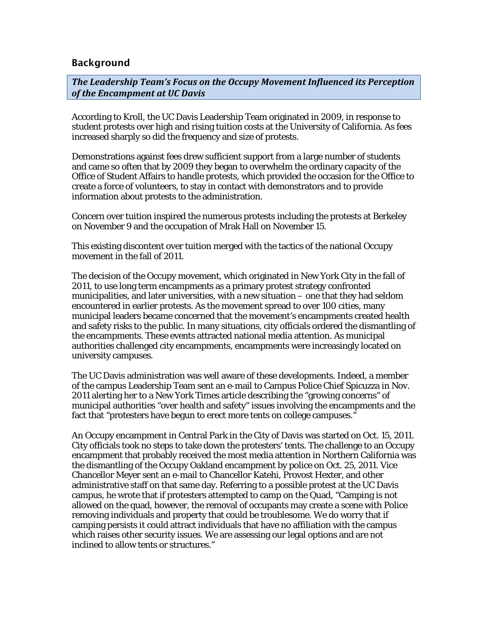## Background

*The Leadership Team's Focus on the Occupy Movement Influenced its Perception of the Encampment at UC Davis*

According to Kroll, the UC Davis Leadership Team originated in 2009, in response to student protests over high and rising tuition costs at the University of California. As fees increased sharply so did the frequency and size of protests.

Demonstrations against fees drew sufficient support from a large number of students and came so often that by 2009 they began to overwhelm the ordinary capacity of the Office of Student Affairs to handle protests, which provided the occasion for the Office to create a force of volunteers, to stay in contact with demonstrators and to provide information about protests to the administration.

Concern over tuition inspired the numerous protests including the protests at Berkeley on November 9 and the occupation of Mrak Hall on November 15.

This existing discontent over tuition merged with the tactics of the national Occupy movement in the fall of 2011.

The decision of the Occupy movement, which originated in New York City in the fall of 2011, to use long term encampments as a primary protest strategy confronted municipalities, and later universities, with a new situation – one that they had seldom encountered in earlier protests. As the movement spread to over 100 cities, many municipal leaders became concerned that the movement's encampments created health and safety risks to the public. In many situations, city officials ordered the dismantling of the encampments. These events attracted national media attention. As municipal authorities challenged city encampments, encampments were increasingly located on university campuses.

The UC Davis administration was well aware of these developments. Indeed, a member of the campus Leadership Team sent an e-mail to Campus Police Chief Spicuzza in Nov. 2011 alerting her to a New York Times article describing the "growing concerns" of municipal authorities "over health and safety" issues involving the encampments and the fact that "protesters have begun to erect more tents on college campuses."

An Occupy encampment in Central Park in the City of Davis was started on Oct. 15, 2011. City officials took no steps to take down the protesters' tents. The challenge to an Occupy encampment that probably received the most media attention in Northern California was the dismantling of the Occupy Oakland encampment by police on Oct. 25, 2011. Vice Chancellor Meyer sent an e-mail to Chancellor Katehi, Provost Hexter, and other administrative staff on that same day. Referring to a possible protest at the UC Davis campus, he wrote that if protesters attempted to camp on the Quad, "Camping is not allowed on the quad, however, the removal of occupants may create a scene with Police removing individuals and property that could be troublesome. We do worry that if camping persists it could attract individuals that have no affiliation with the campus which raises other security issues. We are assessing our legal options and are not inclined to allow tents or structures."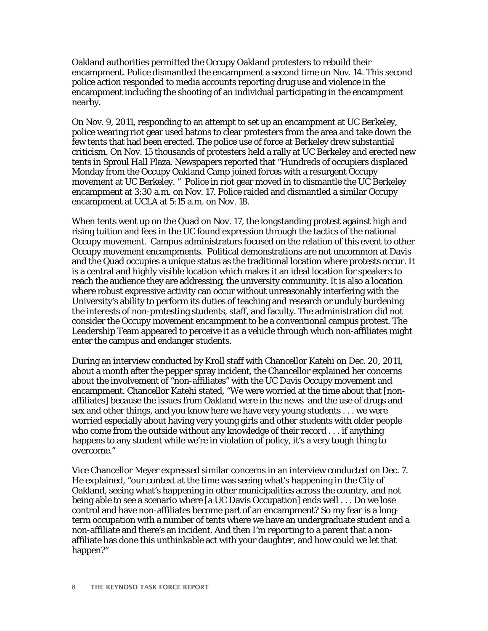Oakland authorities permitted the Occupy Oakland protesters to rebuild their encampment. Police dismantled the encampment a second time on Nov. 14. This second police action responded to media accounts reporting drug use and violence in the encampment including the shooting of an individual participating in the encampment nearby.

On Nov. 9, 2011, responding to an attempt to set up an encampment at UC Berkeley, police wearing riot gear used batons to clear protesters from the area and take down the few tents that had been erected. The police use of force at Berkeley drew substantial criticism. On Nov. 15 thousands of protesters held a rally at UC Berkeley and erected new tents in Sproul Hall Plaza. Newspapers reported that "Hundreds of occupiers displaced Monday from the Occupy Oakland Camp joined forces with a resurgent Occupy movement at UC Berkeley. " Police in riot gear moved in to dismantle the UC Berkeley encampment at 3:30 a.m. on Nov. 17. Police raided and dismantled a similar Occupy encampment at UCLA at 5:15 a.m. on Nov. 18.

When tents went up on the Quad on Nov. 17, the longstanding protest against high and rising tuition and fees in the UC found expression through the tactics of the national Occupy movement. Campus administrators focused on the relation of this event to other Occupy movement encampments. Political demonstrations are not uncommon at Davis and the Quad occupies a unique status as the traditional location where protests occur. It is a central and highly visible location which makes it an ideal location for speakers to reach the audience they are addressing, the university community. It is also a location where robust expressive activity can occur without unreasonably interfering with the University's ability to perform its duties of teaching and research or unduly burdening the interests of non-protesting students, staff, and faculty. The administration did not consider the Occupy movement encampment to be a conventional campus protest. The Leadership Team appeared to perceive it as a vehicle through which non-affiliates might enter the campus and endanger students.

During an interview conducted by Kroll staff with Chancellor Katehi on Dec. 20, 2011, about a month after the pepper spray incident, the Chancellor explained her concerns about the involvement of "non-affiliates" with the UC Davis Occupy movement and encampment. Chancellor Katehi stated, "We were worried at the time about that [nonaffiliates] because the issues from Oakland were in the news and the use of drugs and sex and other things, and you know here we have very young students . . . we were worried especially about having very young girls and other students with older people who come from the outside without any knowledge of their record . . . if anything happens to any student while we're in violation of policy, it's a very tough thing to overcome."

Vice Chancellor Meyer expressed similar concerns in an interview conducted on Dec. 7. He explained, "our context at the time was seeing what's happening in the City of Oakland, seeing what's happening in other municipalities across the country, and not being able to see a scenario where [a UC Davis Occupation] ends well . . . Do we lose control and have non-affiliates become part of an encampment? So my fear is a longterm occupation with a number of tents where we have an undergraduate student and a non-affiliate and there's an incident. And then I'm reporting to a parent that a nonaffiliate has done this unthinkable act with your daughter, and how could we let that happen?"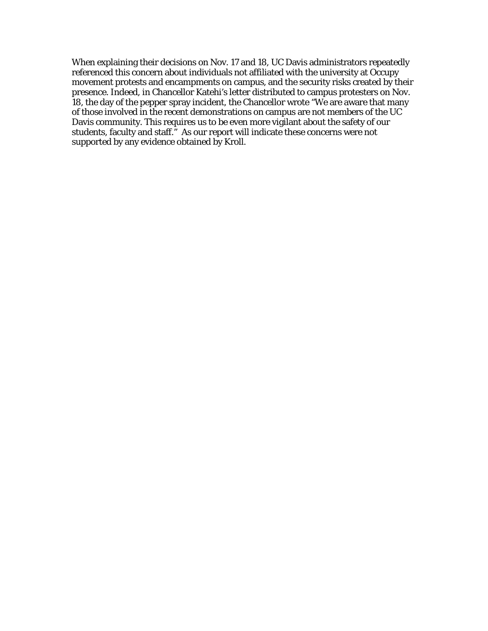When explaining their decisions on Nov. 17 and 18, UC Davis administrators repeatedly referenced this concern about individuals not affiliated with the university at Occupy movement protests and encampments on campus, and the security risks created by their presence. Indeed, in Chancellor Katehi's letter distributed to campus protesters on Nov. 18, the day of the pepper spray incident, the Chancellor wrote "We are aware that many of those involved in the recent demonstrations on campus are not members of the UC Davis community. This requires us to be even more vigilant about the safety of our students, faculty and staff." As our report will indicate these concerns were not supported by any evidence obtained by Kroll.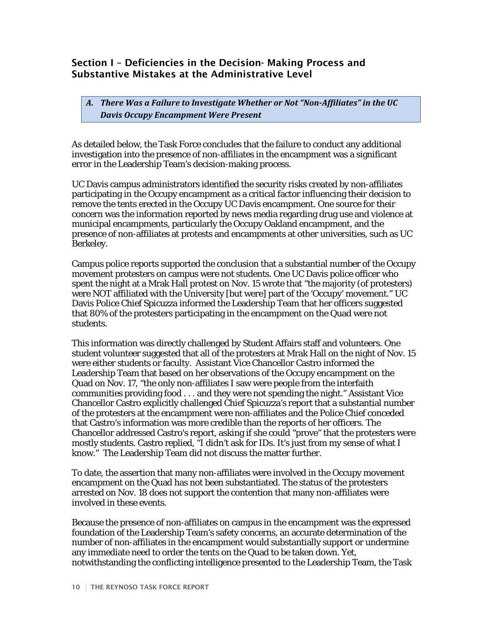## Section I – Deficiencies in the Decision- Making Process and Substantive Mistakes at the Administrative Level

*A. There Was a Failure to Investigate Whether or Not "Non-Affiliates" in the UC Davis Occupy Encampment Were Present*

As detailed below, the Task Force concludes that the failure to conduct any additional investigation into the presence of non-affiliates in the encampment was a significant error in the Leadership Team's decision-making process.

UC Davis campus administrators identified the security risks created by non-affiliates participating in the Occupy encampment as a critical factor influencing their decision to remove the tents erected in the Occupy UC Davis encampment. One source for their concern was the information reported by news media regarding drug use and violence at municipal encampments, particularly the Occupy Oakland encampment, and the presence of non-affiliates at protests and encampments at other universities, such as UC Berkeley.

Campus police reports supported the conclusion that a substantial number of the Occupy movement protesters on campus were not students. One UC Davis police officer who spent the night at a Mrak Hall protest on Nov. 15 wrote that "the majority (of protesters) were NOT affiliated with the University [but were] part of the 'Occupy' movement." UC Davis Police Chief Spicuzza informed the Leadership Team that her officers suggested that 80% of the protesters participating in the encampment on the Quad were not students.

This information was directly challenged by Student Affairs staff and volunteers. One student volunteer suggested that all of the protesters at Mrak Hall on the night of Nov. 15 were either students or faculty. Assistant Vice Chancellor Castro informed the Leadership Team that based on her observations of the Occupy encampment on the Quad on Nov. 17, "the only non-affiliates I saw were people from the interfaith communities providing food . . . and they were not spending the night." Assistant Vice Chancellor Castro explicitly challenged Chief Spicuzza's report that a substantial number of the protesters at the encampment were non-affiliates and the Police Chief conceded that Castro's information was more credible than the reports of her officers. The Chancellor addressed Castro's report, asking if she could "prove" that the protesters were mostly students. Castro replied, "I didn't ask for IDs. It's just from my sense of what I know." The Leadership Team did not discuss the matter further.

To date, the assertion that many non-affiliates were involved in the Occupy movement encampment on the Quad has not been substantiated. The status of the protesters arrested on Nov. 18 does not support the contention that many non-affiliates were involved in these events.

Because the presence of non-affiliates on campus in the encampment was the expressed foundation of the Leadership Team's safety concerns, an accurate determination of the number of non-affiliates in the encampment would substantially support or undermine any immediate need to order the tents on the Quad to be taken down. Yet, notwithstanding the conflicting intelligence presented to the Leadership Team, the Task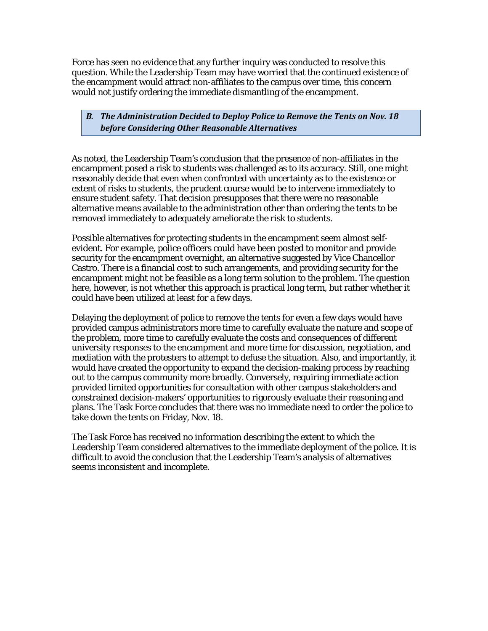Force has seen no evidence that any further inquiry was conducted to resolve this question. While the Leadership Team may have worried that the continued existence of the encampment would attract non-affiliates to the campus over time, this concern would not justify ordering the immediate dismantling of the encampment.

## *B. The Administration Decided to Deploy Police to Remove the Tents on Nov. 18 before Considering Other Reasonable Alternatives*

As noted, the Leadership Team's conclusion that the presence of non-affiliates in the encampment posed a risk to students was challenged as to its accuracy. Still, one might reasonably decide that even when confronted with uncertainty as to the existence or extent of risks to students, the prudent course would be to intervene immediately to ensure student safety. That decision presupposes that there were no reasonable alternative means available to the administration other than ordering the tents to be removed immediately to adequately ameliorate the risk to students.

Possible alternatives for protecting students in the encampment seem almost selfevident. For example, police officers could have been posted to monitor and provide security for the encampment overnight, an alternative suggested by Vice Chancellor Castro. There is a financial cost to such arrangements, and providing security for the encampment might not be feasible as a long term solution to the problem. The question here, however, is not whether this approach is practical long term, but rather whether it could have been utilized at least for a few days.

Delaying the deployment of police to remove the tents for even a few days would have provided campus administrators more time to carefully evaluate the nature and scope of the problem, more time to carefully evaluate the costs and consequences of different university responses to the encampment and more time for discussion, negotiation, and mediation with the protesters to attempt to defuse the situation. Also, and importantly, it would have created the opportunity to expand the decision-making process by reaching out to the campus community more broadly. Conversely, requiring immediate action provided limited opportunities for consultation with other campus stakeholders and constrained decision-makers' opportunities to rigorously evaluate their reasoning and plans. The Task Force concludes that there was no immediate need to order the police to take down the tents on Friday, Nov. 18.

The Task Force has received no information describing the extent to which the Leadership Team considered alternatives to the immediate deployment of the police. It is difficult to avoid the conclusion that the Leadership Team's analysis of alternatives seems inconsistent and incomplete.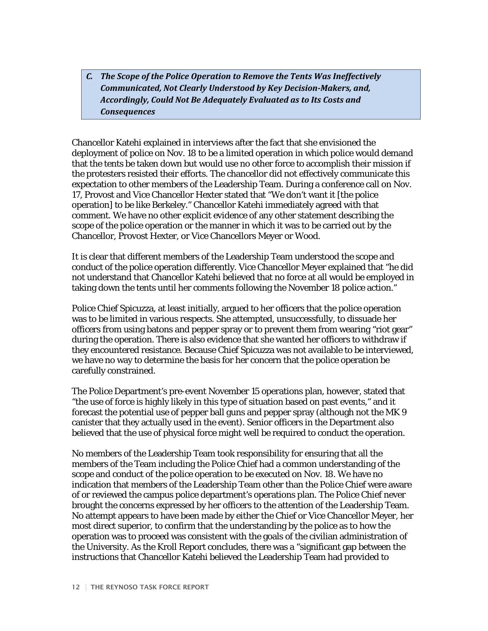## *C. The Scope of the Police Operation to Remove the Tents Was Ineffectively Communicated, Not Clearly Understood by Key Decision-Makers, and, Accordingly, Could Not Be Adequately Evaluated as to Its Costs and Consequences*

Chancellor Katehi explained in interviews after the fact that she envisioned the deployment of police on Nov. 18 to be a limited operation in which police would demand that the tents be taken down but would use no other force to accomplish their mission if the protesters resisted their efforts. The chancellor did not effectively communicate this expectation to other members of the Leadership Team. During a conference call on Nov. 17, Provost and Vice Chancellor Hexter stated that "We don't want it [the police operation] to be like Berkeley." Chancellor Katehi immediately agreed with that comment. We have no other explicit evidence of any other statement describing the scope of the police operation or the manner in which it was to be carried out by the Chancellor, Provost Hexter, or Vice Chancellors Meyer or Wood.

It is clear that different members of the Leadership Team understood the scope and conduct of the police operation differently. Vice Chancellor Meyer explained that "he did not understand that Chancellor Katehi believed that no force at all would be employed in taking down the tents until her comments following the November 18 police action."

Police Chief Spicuzza, at least initially, argued to her officers that the police operation was to be limited in various respects. She attempted, unsuccessfully, to dissuade her officers from using batons and pepper spray or to prevent them from wearing "riot gear" during the operation. There is also evidence that she wanted her officers to withdraw if they encountered resistance. Because Chief Spicuzza was not available to be interviewed, we have no way to determine the basis for her concern that the police operation be carefully constrained.

The Police Department's pre-event November 15 operations plan, however, stated that "the use of force is highly likely in this type of situation based on past events," and it forecast the potential use of pepper ball guns and pepper spray (although not the MK 9 canister that they actually used in the event). Senior officers in the Department also believed that the use of physical force might well be required to conduct the operation.

No members of the Leadership Team took responsibility for ensuring that all the members of the Team including the Police Chief had a common understanding of the scope and conduct of the police operation to be executed on Nov. 18. We have no indication that members of the Leadership Team other than the Police Chief were aware of or reviewed the campus police department's operations plan. The Police Chief never brought the concerns expressed by her officers to the attention of the Leadership Team. No attempt appears to have been made by either the Chief or Vice Chancellor Meyer, her most direct superior, to confirm that the understanding by the police as to how the operation was to proceed was consistent with the goals of the civilian administration of the University. As the Kroll Report concludes, there was a "significant gap between the instructions that Chancellor Katehi believed the Leadership Team had provided to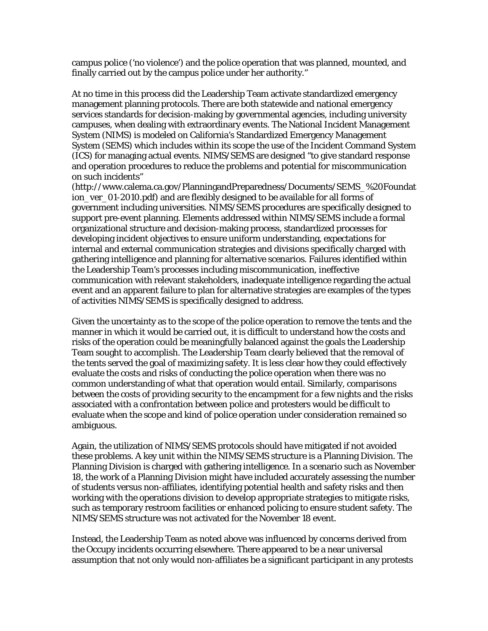campus police ('no violence') and the police operation that was planned, mounted, and finally carried out by the campus police under her authority."

At no time in this process did the Leadership Team activate standardized emergency management planning protocols. There are both statewide and national emergency services standards for decision-making by governmental agencies, including university campuses, when dealing with extraordinary events. The National Incident Management System (NIMS) is modeled on California's Standardized Emergency Management System (SEMS) which includes within its scope the use of the Incident Command System (ICS) for managing actual events. NIMS/SEMS are designed "to give standard response and operation procedures to reduce the problems and potential for miscommunication on such incidents"

(http://www.calema.ca.gov/PlanningandPreparedness/Documents/SEMS\_%20Foundat ion\_ver\_01-2010.pdf) and are flexibly designed to be available for all forms of government including universities. NIMS/SEMS procedures are specifically designed to support pre-event planning. Elements addressed within NIMS/SEMS include a formal organizational structure and decision-making process, standardized processes for developing incident objectives to ensure uniform understanding, expectations for internal and external communication strategies and divisions specifically charged with gathering intelligence and planning for alternative scenarios. Failures identified within the Leadership Team's processes including miscommunication, ineffective communication with relevant stakeholders, inadequate intelligence regarding the actual event and an apparent failure to plan for alternative strategies are examples of the types of activities NIMS/SEMS is specifically designed to address.

Given the uncertainty as to the scope of the police operation to remove the tents and the manner in which it would be carried out, it is difficult to understand how the costs and risks of the operation could be meaningfully balanced against the goals the Leadership Team sought to accomplish. The Leadership Team clearly believed that the removal of the tents served the goal of maximizing safety. It is less clear how they could effectively evaluate the costs and risks of conducting the police operation when there was no common understanding of what that operation would entail. Similarly, comparisons between the costs of providing security to the encampment for a few nights and the risks associated with a confrontation between police and protesters would be difficult to evaluate when the scope and kind of police operation under consideration remained so ambiguous.

Again, the utilization of NIMS/SEMS protocols should have mitigated if not avoided these problems. A key unit within the NIMS/SEMS structure is a Planning Division. The Planning Division is charged with gathering intelligence. In a scenario such as November 18, the work of a Planning Division might have included accurately assessing the number of students versus non-affiliates, identifying potential health and safety risks and then working with the operations division to develop appropriate strategies to mitigate risks, such as temporary restroom facilities or enhanced policing to ensure student safety. The NIMS/SEMS structure was not activated for the November 18 event.

Instead, the Leadership Team as noted above was influenced by concerns derived from the Occupy incidents occurring elsewhere. There appeared to be a near universal assumption that not only would non-affiliates be a significant participant in any protests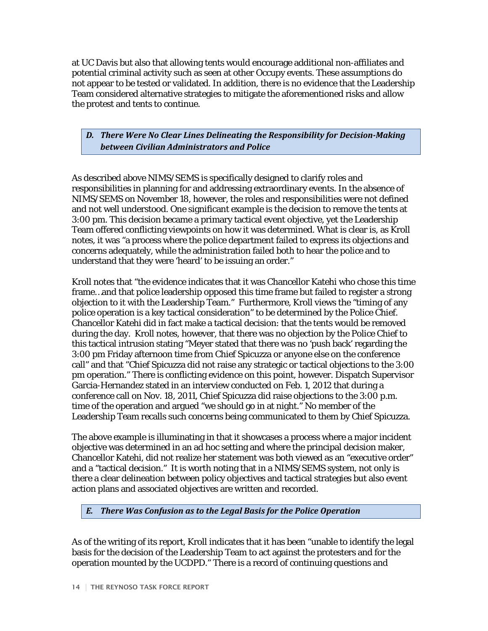at UC Davis but also that allowing tents would encourage additional non-affiliates and potential criminal activity such as seen at other Occupy events. These assumptions do not appear to be tested or validated. In addition, there is no evidence that the Leadership Team considered alternative strategies to mitigate the aforementioned risks and allow the protest and tents to continue.

## *D. There Were No Clear Lines Delineating the Responsibility for Decision-Making between Civilian Administrators and Police*

As described above NIMS/SEMS is specifically designed to clarify roles and responsibilities in planning for and addressing extraordinary events. In the absence of NIMS/SEMS on November 18, however, the roles and responsibilities were not defined and not well understood. One significant example is the decision to remove the tents at 3:00 pm. This decision became a primary tactical event objective, yet the Leadership Team offered conflicting viewpoints on how it was determined. What is clear is, as Kroll notes, it was "a process where the police department failed to express its objections and concerns adequately, while the administration failed both to hear the police and to understand that they were 'heard' to be issuing an order."

Kroll notes that "the evidence indicates that it was Chancellor Katehi who chose this time frame…and that police leadership opposed this time frame but failed to register a strong objection to it with the Leadership Team." Furthermore, Kroll views the "timing of any police operation is a key tactical consideration" to be determined by the Police Chief. Chancellor Katehi did in fact make a tactical decision: that the tents would be removed during the day. Kroll notes, however, that there was no objection by the Police Chief to this tactical intrusion stating "Meyer stated that there was no 'push back' regarding the 3:00 pm Friday afternoon time from Chief Spicuzza or anyone else on the conference call" and that "Chief Spicuzza did not raise any strategic or tactical objections to the 3:00 pm operation." There is conflicting evidence on this point, however. Dispatch Supervisor Garcia-Hernandez stated in an interview conducted on Feb. 1, 2012 that during a conference call on Nov. 18, 2011, Chief Spicuzza did raise objections to the 3:00 p.m. time of the operation and argued "we should go in at night." No member of the Leadership Team recalls such concerns being communicated to them by Chief Spicuzza.

The above example is illuminating in that it showcases a process where a major incident objective was determined in an ad hoc setting and where the principal decision maker, Chancellor Katehi, did not realize her statement was both viewed as an "executive order" and a "tactical decision." It is worth noting that in a NIMS/SEMS system, not only is there a clear delineation between policy objectives and tactical strategies but also event action plans and associated objectives are written and recorded.

## *E. There Was Confusion as to the Legal Basis for the Police Operation*

As of the writing of its report, Kroll indicates that it has been "unable to identify the legal basis for the decision of the Leadership Team to act against the protesters and for the operation mounted by the UCDPD." There is a record of continuing questions and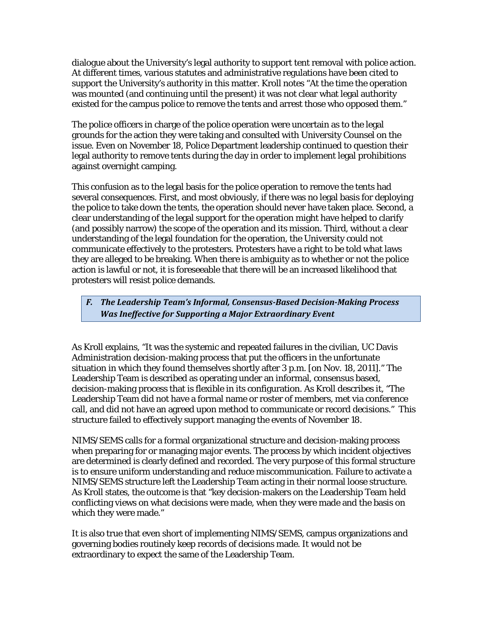dialogue about the University's legal authority to support tent removal with police action. At different times, various statutes and administrative regulations have been cited to support the University's authority in this matter. Kroll notes "At the time the operation was mounted (and continuing until the present) it was not clear what legal authority existed for the campus police to remove the tents and arrest those who opposed them."

The police officers in charge of the police operation were uncertain as to the legal grounds for the action they were taking and consulted with University Counsel on the issue. Even on November 18, Police Department leadership continued to question their legal authority to remove tents during the day in order to implement legal prohibitions against overnight camping.

This confusion as to the legal basis for the police operation to remove the tents had several consequences. First, and most obviously, if there was no legal basis for deploying the police to take down the tents, the operation should never have taken place. Second, a clear understanding of the legal support for the operation might have helped to clarify (and possibly narrow) the scope of the operation and its mission. Third, without a clear understanding of the legal foundation for the operation, the University could not communicate effectively to the protesters. Protesters have a right to be told what laws they are alleged to be breaking. When there is ambiguity as to whether or not the police action is lawful or not, it is foreseeable that there will be an increased likelihood that protesters will resist police demands.

*F. The Leadership Team's Informal, Consensus-Based Decision-Making Process Was Ineffective for Supporting a Major Extraordinary Event*

As Kroll explains, "It was the systemic and repeated failures in the civilian, UC Davis Administration decision-making process that put the officers in the unfortunate situation in which they found themselves shortly after 3 p.m. [on Nov. 18, 2011]." The Leadership Team is described as operating under an informal, consensus based, decision-making process that is flexible in its configuration. As Kroll describes it, "The Leadership Team did not have a formal name or roster of members, met via conference call, and did not have an agreed upon method to communicate or record decisions." This structure failed to effectively support managing the events of November 18.

NIMS/SEMS calls for a formal organizational structure and decision-making process when preparing for or managing major events. The process by which incident objectives are determined is clearly defined and recorded. The very purpose of this formal structure is to ensure uniform understanding and reduce miscommunication. Failure to activate a NIMS/SEMS structure left the Leadership Team acting in their normal loose structure. As Kroll states, the outcome is that "key decision-makers on the Leadership Team held conflicting views on what decisions were made, when they were made and the basis on which they were made."

It is also true that even short of implementing NIMS/SEMS, campus organizations and governing bodies routinely keep records of decisions made. It would not be extraordinary to expect the same of the Leadership Team.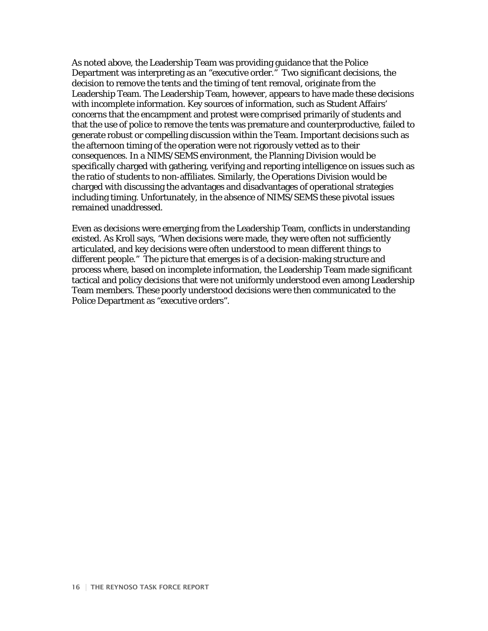As noted above, the Leadership Team was providing guidance that the Police Department was interpreting as an "executive order." Two significant decisions, the decision to remove the tents and the timing of tent removal, originate from the Leadership Team. The Leadership Team, however, appears to have made these decisions with incomplete information. Key sources of information, such as Student Affairs' concerns that the encampment and protest were comprised primarily of students and that the use of police to remove the tents was premature and counterproductive, failed to generate robust or compelling discussion within the Team. Important decisions such as the afternoon timing of the operation were not rigorously vetted as to their consequences. In a NIMS/SEMS environment, the Planning Division would be specifically charged with gathering, verifying and reporting intelligence on issues such as the ratio of students to non-affiliates. Similarly, the Operations Division would be charged with discussing the advantages and disadvantages of operational strategies including timing. Unfortunately, in the absence of NIMS/SEMS these pivotal issues remained unaddressed.

Even as decisions were emerging from the Leadership Team, conflicts in understanding existed. As Kroll says, "When decisions were made, they were often not sufficiently articulated, and key decisions were often understood to mean different things to different people." The picture that emerges is of a decision-making structure and process where, based on incomplete information, the Leadership Team made significant tactical and policy decisions that were not uniformly understood even among Leadership Team members. These poorly understood decisions were then communicated to the Police Department as "executive orders".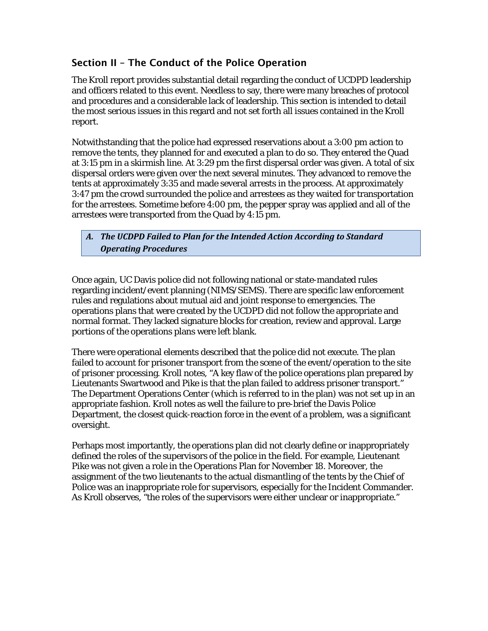## Section II – The Conduct of the Police Operation

The Kroll report provides substantial detail regarding the conduct of UCDPD leadership and officers related to this event. Needless to say, there were many breaches of protocol and procedures and a considerable lack of leadership. This section is intended to detail the most serious issues in this regard and not set forth all issues contained in the Kroll report.

Notwithstanding that the police had expressed reservations about a 3:00 pm action to remove the tents, they planned for and executed a plan to do so. They entered the Quad at 3:15 pm in a skirmish line. At 3:29 pm the first dispersal order was given. A total of six dispersal orders were given over the next several minutes. They advanced to remove the tents at approximately 3:35 and made several arrests in the process. At approximately 3:47 pm the crowd surrounded the police and arrestees as they waited for transportation for the arrestees. Sometime before 4:00 pm, the pepper spray was applied and all of the arrestees were transported from the Quad by 4:15 pm.

## *A. The UCDPD Failed to Plan for the Intended Action According to Standard Operating Procedures*

Once again, UC Davis police did not following national or state-mandated rules regarding incident/event planning (NIMS/SEMS). There are specific law enforcement rules and regulations about mutual aid and joint response to emergencies. The operations plans that were created by the UCDPD did not follow the appropriate and normal format. They lacked signature blocks for creation, review and approval. Large portions of the operations plans were left blank.

There were operational elements described that the police did not execute. The plan failed to account for prisoner transport from the scene of the event/operation to the site of prisoner processing. Kroll notes, "A key flaw of the police operations plan prepared by Lieutenants Swartwood and Pike is that the plan failed to address prisoner transport." The Department Operations Center (which is referred to in the plan) was not set up in an appropriate fashion. Kroll notes as well the failure to pre-brief the Davis Police Department, the closest quick-reaction force in the event of a problem, was a significant oversight.

Perhaps most importantly, the operations plan did not clearly define or inappropriately defined the roles of the supervisors of the police in the field. For example, Lieutenant Pike was not given a role in the Operations Plan for November 18. Moreover, the assignment of the two lieutenants to the actual dismantling of the tents by the Chief of Police was an inappropriate role for supervisors, especially for the Incident Commander. As Kroll observes, "the roles of the supervisors were either unclear or inappropriate."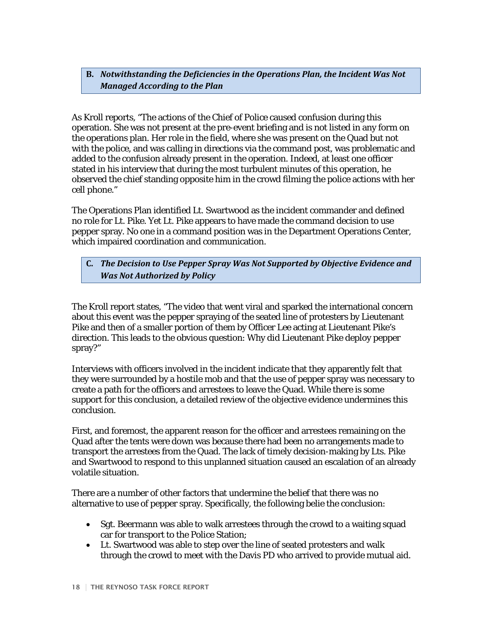**B.** *Notwithstanding the Deficiencies in the Operations Plan, the Incident Was Not Managed According to the Plan*

As Kroll reports, "The actions of the Chief of Police caused confusion during this operation. She was not present at the pre-event briefing and is not listed in any form on the operations plan. Her role in the field, where she was present on the Quad but not with the police, and was calling in directions via the command post, was problematic and added to the confusion already present in the operation. Indeed, at least one officer stated in his interview that during the most turbulent minutes of this operation, he observed the chief standing opposite him in the crowd filming the police actions with her cell phone."

The Operations Plan identified Lt. Swartwood as the incident commander and defined no role for Lt. Pike. Yet Lt. Pike appears to have made the command decision to use pepper spray. No one in a command position was in the Department Operations Center, which impaired coordination and communication.

## **C.** *The Decision to Use Pepper Spray Was Not Supported by Objective Evidence and Was Not Authorized by Policy*

The Kroll report states, "The video that went viral and sparked the international concern about this event was the pepper spraying of the seated line of protesters by Lieutenant Pike and then of a smaller portion of them by Officer Lee acting at Lieutenant Pike's direction. This leads to the obvious question: Why did Lieutenant Pike deploy pepper spray?"

Interviews with officers involved in the incident indicate that they apparently felt that they were surrounded by a hostile mob and that the use of pepper spray was necessary to create a path for the officers and arrestees to leave the Quad. While there is some support for this conclusion, a detailed review of the objective evidence undermines this conclusion.

First, and foremost, the apparent reason for the officer and arrestees remaining on the Quad after the tents were down was because there had been no arrangements made to transport the arrestees from the Quad. The lack of timely decision-making by Lts. Pike and Swartwood to respond to this unplanned situation caused an escalation of an already volatile situation.

There are a number of other factors that undermine the belief that there was no alternative to use of pepper spray. Specifically, the following belie the conclusion:

- Sgt. Beermann was able to walk arrestees through the crowd to a waiting squad car for transport to the Police Station;
- Lt. Swartwood was able to step over the line of seated protesters and walk through the crowd to meet with the Davis PD who arrived to provide mutual aid.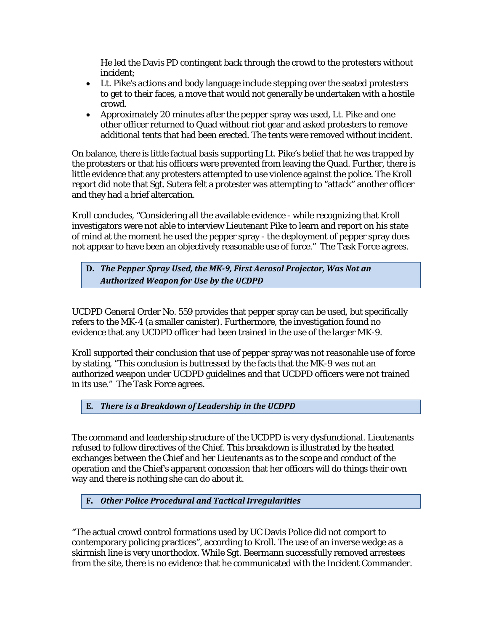He led the Davis PD contingent back through the crowd to the protesters without incident;

- Lt. Pike's actions and body language include stepping over the seated protesters to get to their faces, a move that would not generally be undertaken with a hostile crowd.
- Approximately 20 minutes after the pepper spray was used, Lt. Pike and one other officer returned to Quad without riot gear and asked protesters to remove additional tents that had been erected. The tents were removed without incident.

On balance, there is little factual basis supporting Lt. Pike's belief that he was trapped by the protesters or that his officers were prevented from leaving the Quad. Further, there is little evidence that any protesters attempted to use violence against the police. The Kroll report did note that Sgt. Sutera felt a protester was attempting to "attack" another officer and they had a brief altercation.

Kroll concludes, "Considering all the available evidence - while recognizing that Kroll investigators were not able to interview Lieutenant Pike to learn and report on his state of mind at the moment he used the pepper spray - the deployment of pepper spray does not appear to have been an objectively reasonable use of force." The Task Force agrees.

**D.** *The Pepper Spray Used, the MK-9, First Aerosol Projector, Was Not an Authorized Weapon for Use by the UCDPD*

UCDPD General Order No. 559 provides that pepper spray can be used, but specifically refers to the MK-4 (a smaller canister). Furthermore, the investigation found no evidence that any UCDPD officer had been trained in the use of the larger MK-9.

Kroll supported their conclusion that use of pepper spray was not reasonable use of force by stating, "This conclusion is buttressed by the facts that the MK-9 was not an authorized weapon under UCDPD guidelines and that UCDPD officers were not trained in its use." The Task Force agrees.

**E.** *There is a Breakdown of Leadership in the UCDPD*

The command and leadership structure of the UCDPD is very dysfunctional. Lieutenants refused to follow directives of the Chief. This breakdown is illustrated by the heated exchanges between the Chief and her Lieutenants as to the scope and conduct of the operation and the Chief's apparent concession that her officers will do things their own way and there is nothing she can do about it.

**F.** *Other Police Procedural and Tactical Irregularities*

"The actual crowd control formations used by UC Davis Police did not comport to contemporary policing practices", according to Kroll. The use of an inverse wedge as a skirmish line is very unorthodox. While Sgt. Beermann successfully removed arrestees from the site, there is no evidence that he communicated with the Incident Commander.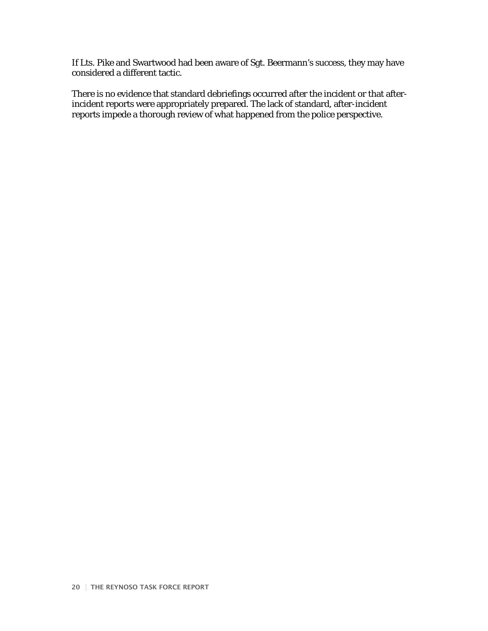If Lts. Pike and Swartwood had been aware of Sgt. Beermann's success, they may have considered a different tactic.

There is no evidence that standard debriefings occurred after the incident or that afterincident reports were appropriately prepared. The lack of standard, after-incident reports impede a thorough review of what happened from the police perspective.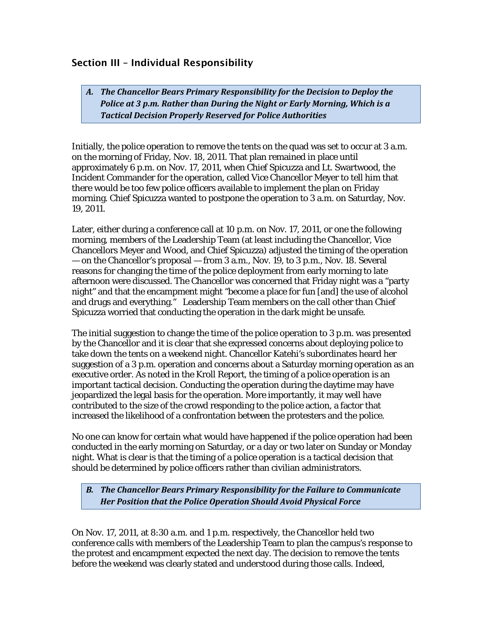## Section III – Individual Responsibility

*A. The Chancellor Bears Primary Responsibility for the Decision to Deploy the Police at 3 p.m. Rather than During the Night or Early Morning, Which is a Tactical Decision Properly Reserved for Police Authorities*

Initially, the police operation to remove the tents on the quad was set to occur at 3 a.m. on the morning of Friday, Nov. 18, 2011. That plan remained in place until approximately 6 p.m. on Nov. 17, 2011, when Chief Spicuzza and Lt. Swartwood, the Incident Commander for the operation, called Vice Chancellor Meyer to tell him that there would be too few police officers available to implement the plan on Friday morning. Chief Spicuzza wanted to postpone the operation to 3 a.m. on Saturday, Nov. 19, 2011.

Later, either during a conference call at 10 p.m. on Nov. 17, 2011, or one the following morning, members of the Leadership Team (at least including the Chancellor, Vice Chancellors Meyer and Wood, and Chief Spicuzza) adjusted the timing of the operation — on the Chancellor's proposal — from 3 a.m., Nov. 19, to 3 p.m., Nov. 18. Several reasons for changing the time of the police deployment from early morning to late afternoon were discussed. The Chancellor was concerned that Friday night was a "party night" and that the encampment might "become a place for fun [and] the use of alcohol and drugs and everything." Leadership Team members on the call other than Chief Spicuzza worried that conducting the operation in the dark might be unsafe.

The initial suggestion to change the time of the police operation to 3 p.m. was presented by the Chancellor and it is clear that she expressed concerns about deploying police to take down the tents on a weekend night. Chancellor Katehi's subordinates heard her suggestion of a 3 p.m. operation and concerns about a Saturday morning operation as an executive order. As noted in the Kroll Report, the timing of a police operation is an important tactical decision. Conducting the operation during the daytime may have jeopardized the legal basis for the operation. More importantly, it may well have contributed to the size of the crowd responding to the police action, a factor that increased the likelihood of a confrontation between the protesters and the police.

No one can know for certain what would have happened if the police operation had been conducted in the early morning on Saturday, or a day or two later on Sunday or Monday night. What is clear is that the timing of a police operation is a tactical decision that should be determined by police officers rather than civilian administrators.

*B. The Chancellor Bears Primary Responsibility for the Failure to Communicate Her Position that the Police Operation Should Avoid Physical Force*

On Nov. 17, 2011, at 8:30 a.m. and 1 p.m. respectively, the Chancellor held two conference calls with members of the Leadership Team to plan the campus's response to the protest and encampment expected the next day. The decision to remove the tents before the weekend was clearly stated and understood during those calls. Indeed,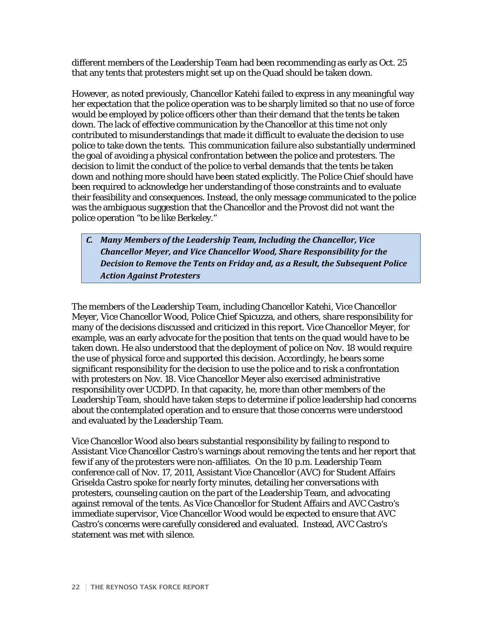different members of the Leadership Team had been recommending as early as Oct. 25 that any tents that protesters might set up on the Quad should be taken down.

However, as noted previously, Chancellor Katehi failed to express in any meaningful way her expectation that the police operation was to be sharply limited so that no use of force would be employed by police officers other than their demand that the tents be taken down. The lack of effective communication by the Chancellor at this time not only contributed to misunderstandings that made it difficult to evaluate the decision to use police to take down the tents. This communication failure also substantially undermined the goal of avoiding a physical confrontation between the police and protesters. The decision to limit the conduct of the police to verbal demands that the tents be taken down and nothing more should have been stated explicitly. The Police Chief should have been required to acknowledge her understanding of those constraints and to evaluate their feasibility and consequences. Instead, the only message communicated to the police was the ambiguous suggestion that the Chancellor and the Provost did not want the police operation "to be like Berkeley."

*C. Many Members of the Leadership Team, Including the Chancellor, Vice Chancellor Meyer, and Vice Chancellor Wood, Share Responsibility for the Decision to Remove the Tents on Friday and, as a Result, the Subsequent Police Action Against Protesters*

The members of the Leadership Team, including Chancellor Katehi, Vice Chancellor Meyer, Vice Chancellor Wood, Police Chief Spicuzza, and others, share responsibility for many of the decisions discussed and criticized in this report. Vice Chancellor Meyer, for example, was an early advocate for the position that tents on the quad would have to be taken down. He also understood that the deployment of police on Nov. 18 would require the use of physical force and supported this decision. Accordingly, he bears some significant responsibility for the decision to use the police and to risk a confrontation with protesters on Nov. 18. Vice Chancellor Meyer also exercised administrative responsibility over UCDPD. In that capacity, he, more than other members of the Leadership Team, should have taken steps to determine if police leadership had concerns about the contemplated operation and to ensure that those concerns were understood and evaluated by the Leadership Team.

Vice Chancellor Wood also bears substantial responsibility by failing to respond to Assistant Vice Chancellor Castro's warnings about removing the tents and her report that few if any of the protesters were non-affiliates. On the 10 p.m. Leadership Team conference call of Nov. 17, 2011, Assistant Vice Chancellor (AVC) for Student Affairs Griselda Castro spoke for nearly forty minutes, detailing her conversations with protesters, counseling caution on the part of the Leadership Team, and advocating against removal of the tents. As Vice Chancellor for Student Affairs and AVC Castro's immediate supervisor, Vice Chancellor Wood would be expected to ensure that AVC Castro's concerns were carefully considered and evaluated. Instead, AVC Castro's statement was met with silence.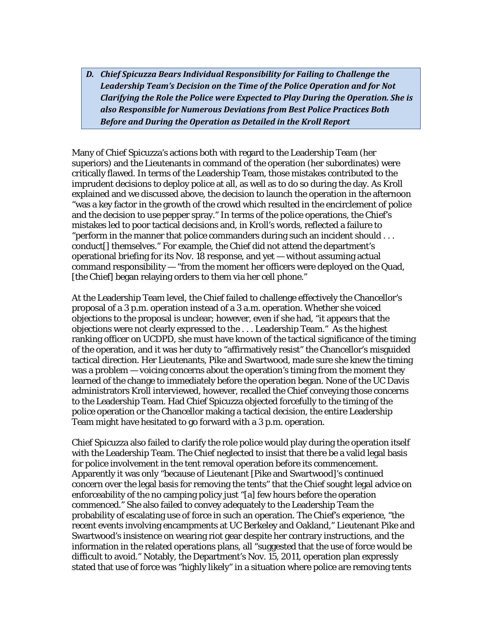*D. Chief Spicuzza Bears Individual Responsibility for Failing to Challenge the Leadership Team's Decision on the Time of the Police Operation and for Not Clarifying the Role the Police were Expected to Play During the Operation. She is also Responsible for Numerous Deviations from Best Police Practices Both Before and During the Operation as Detailed in the Kroll Report*

Many of Chief Spicuzza's actions both with regard to the Leadership Team (her superiors) and the Lieutenants in command of the operation (her subordinates) were critically flawed. In terms of the Leadership Team, those mistakes contributed to the imprudent decisions to deploy police at all, as well as to do so during the day. As Kroll explained and we discussed above, the decision to launch the operation in the afternoon "was a key factor in the growth of the crowd which resulted in the encirclement of police and the decision to use pepper spray." In terms of the police operations, the Chief's mistakes led to poor tactical decisions and, in Kroll's words, reflected a failure to "perform in the manner that police commanders during such an incident should . . . conduct[] themselves." For example, the Chief did not attend the department's operational briefing for its Nov. 18 response, and yet — without assuming actual command responsibility — "from the moment her officers were deployed on the Quad, [the Chief] began relaying orders to them via her cell phone."

At the Leadership Team level, the Chief failed to challenge effectively the Chancellor's proposal of a 3 p.m. operation instead of a 3 a.m. operation. Whether she voiced objections to the proposal is unclear; however, even if she had, "it appears that the objections were not clearly expressed to the . . . Leadership Team." As the highest ranking officer on UCDPD, she must have known of the tactical significance of the timing of the operation, and it was her duty to "affirmatively resist" the Chancellor's misguided tactical direction. Her Lieutenants, Pike and Swartwood, made sure she knew the timing was a problem — voicing concerns about the operation's timing from the moment they learned of the change to immediately before the operation began. None of the UC Davis administrators Kroll interviewed, however, recalled the Chief conveying those concerns to the Leadership Team. Had Chief Spicuzza objected forcefully to the timing of the police operation or the Chancellor making a tactical decision, the entire Leadership Team might have hesitated to go forward with a 3 p.m. operation.

Chief Spicuzza also failed to clarify the role police would play during the operation itself with the Leadership Team. The Chief neglected to insist that there be a valid legal basis for police involvement in the tent removal operation before its commencement. Apparently it was only "because of Lieutenant [Pike and Swartwood]'s continued concern over the legal basis for removing the tents" that the Chief sought legal advice on enforceability of the no camping policy just "[a] few hours before the operation commenced." She also failed to convey adequately to the Leadership Team the probability of escalating use of force in such an operation. The Chief's experience, "the recent events involving encampments at UC Berkeley and Oakland," Lieutenant Pike and Swartwood's insistence on wearing riot gear despite her contrary instructions, and the information in the related operations plans, all "suggested that the use of force would be difficult to avoid." Notably, the Department's Nov. 15, 2011, operation plan expressly stated that use of force was "highly likely" in a situation where police are removing tents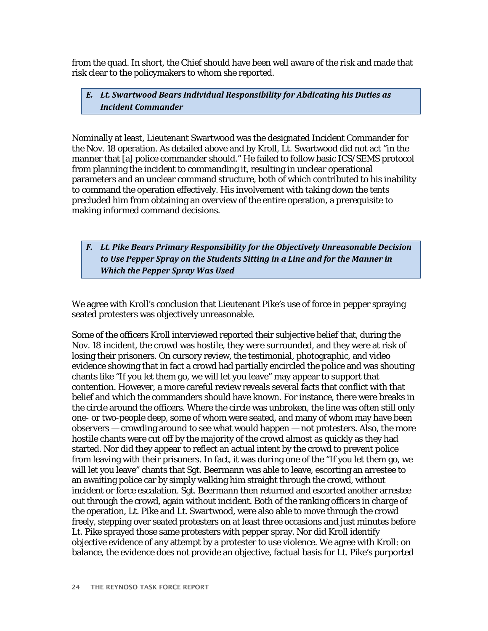from the quad. In short, the Chief should have been well aware of the risk and made that risk clear to the policymakers to whom she reported.

*E. Lt. Swartwood Bears Individual Responsibility for Abdicating his Duties as Incident Commander*

Nominally at least, Lieutenant Swartwood was the designated Incident Commander for the Nov. 18 operation. As detailed above and by Kroll, Lt. Swartwood did not act "in the manner that [a] police commander should." He failed to follow basic ICS/SEMS protocol from planning the incident to commanding it, resulting in unclear operational parameters and an unclear command structure, both of which contributed to his inability to command the operation effectively. His involvement with taking down the tents precluded him from obtaining an overview of the entire operation, a prerequisite to making informed command decisions.

*F. Lt. Pike Bears Primary Responsibility for the Objectively Unreasonable Decision to Use Pepper Spray on the Students Sitting in a Line and for the Manner in Which the Pepper Spray Was Used*

We agree with Kroll's conclusion that Lieutenant Pike's use of force in pepper spraying seated protesters was objectively unreasonable.

Some of the officers Kroll interviewed reported their subjective belief that, during the Nov. 18 incident, the crowd was hostile, they were surrounded, and they were at risk of losing their prisoners. On cursory review, the testimonial, photographic, and video evidence showing that in fact a crowd had partially encircled the police and was shouting chants like "If you let them go, we will let you leave" may appear to support that contention. However, a more careful review reveals several facts that conflict with that belief and which the commanders should have known. For instance, there were breaks in the circle around the officers. Where the circle was unbroken, the line was often still only one- or two-people deep, some of whom were seated, and many of whom may have been observers — crowding around to see what would happen — not protesters. Also, the more hostile chants were cut off by the majority of the crowd almost as quickly as they had started. Nor did they appear to reflect an actual intent by the crowd to prevent police from leaving with their prisoners. In fact, it was during one of the "If you let them go, we will let you leave" chants that Sgt. Beermann was able to leave, escorting an arrestee to an awaiting police car by simply walking him straight through the crowd, without incident or force escalation. Sgt. Beermann then returned and escorted another arrestee out through the crowd, again without incident. Both of the ranking officers in charge of the operation, Lt. Pike and Lt. Swartwood, were also able to move through the crowd freely, stepping over seated protesters on at least three occasions and just minutes before Lt. Pike sprayed those same protesters with pepper spray. Nor did Kroll identify objective evidence of any attempt by a protester to use violence. We agree with Kroll: on balance, the evidence does not provide an objective, factual basis for Lt. Pike's purported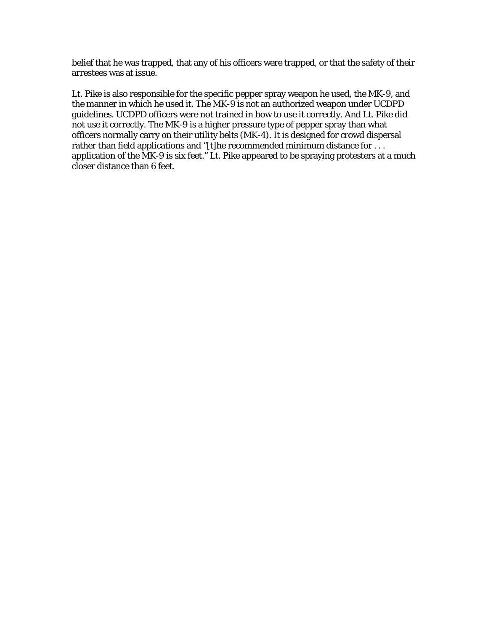belief that he was trapped, that any of his officers were trapped, or that the safety of their arrestees was at issue.

Lt. Pike is also responsible for the specific pepper spray weapon he used, the MK-9, and the manner in which he used it. The MK-9 is not an authorized weapon under UCDPD guidelines. UCDPD officers were not trained in how to use it correctly. And Lt. Pike did not use it correctly. The MK-9 is a higher pressure type of pepper spray than what officers normally carry on their utility belts (MK-4). It is designed for crowd dispersal rather than field applications and "[t]he recommended minimum distance for ... application of the MK-9 is six feet." Lt. Pike appeared to be spraying protesters at a much closer distance than 6 feet.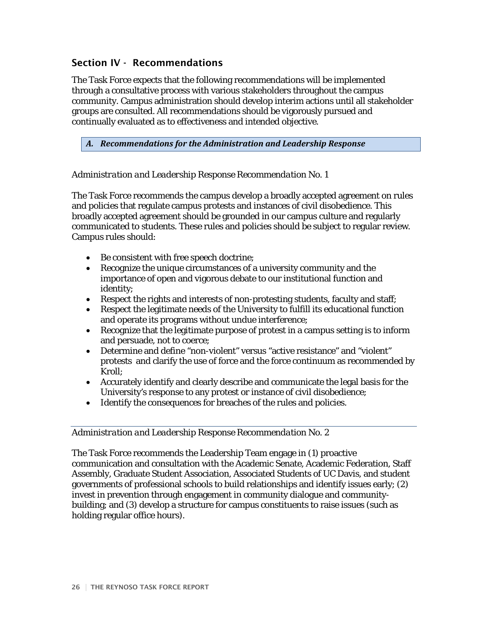## Section IV - Recommendations

The Task Force expects that the following recommendations will be implemented through a consultative process with various stakeholders throughout the campus community. Campus administration should develop interim actions until all stakeholder groups are consulted. All recommendations should be vigorously pursued and continually evaluated as to effectiveness and intended objective.

*A. Recommendations for the Administration and Leadership Response*

## *Administration and Leadership Response Recommendation No. 1*

The Task Force recommends the campus develop a broadly accepted agreement on rules and policies that regulate campus protests and instances of civil disobedience. This broadly accepted agreement should be grounded in our campus culture and regularly communicated to students. These rules and policies should be subject to regular review. Campus rules should:

- Be consistent with free speech doctrine;
- Recognize the unique circumstances of a university community and the importance of open and vigorous debate to our institutional function and identity;
- Respect the rights and interests of non-protesting students, faculty and staff;
- Respect the legitimate needs of the University to fulfill its educational function and operate its programs without undue interference;
- Recognize that the legitimate purpose of protest in a campus setting is to inform and persuade, not to coerce;
- Determine and define "non-violent" versus "active resistance" and "violent" protests and clarify the use of force and the force continuum as recommended by Kroll;
- Accurately identify and clearly describe and communicate the legal basis for the University's response to any protest or instance of civil disobedience;
- Identify the consequences for breaches of the rules and policies.

#### *Administration and Leadership Response Recommendation No. 2*

The Task Force recommends the Leadership Team engage in (1) proactive communication and consultation with the Academic Senate, Academic Federation, Staff Assembly, Graduate Student Association, Associated Students of UC Davis, and student governments of professional schools to build relationships and identify issues early; (2) invest in prevention through engagement in community dialogue and communitybuilding; and (3) develop a structure for campus constituents to raise issues (such as holding regular office hours).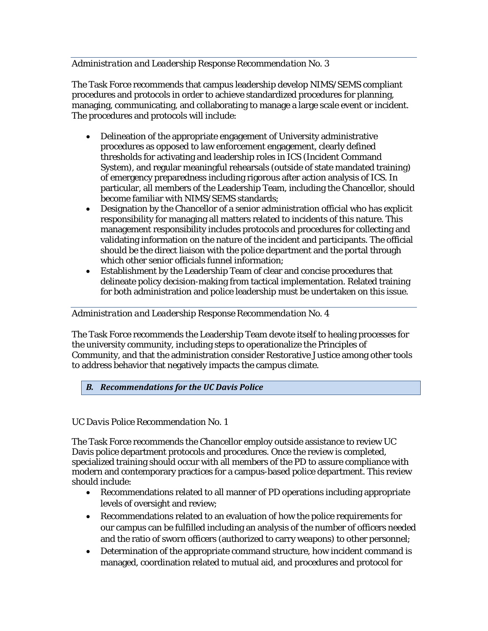## *Administration and Leadership Response Recommendation No. 3*

The Task Force recommends that campus leadership develop NIMS/SEMS compliant procedures and protocols in order to achieve standardized procedures for planning, managing, communicating, and collaborating to manage a large scale event or incident. The procedures and protocols will include:

- Delineation of the appropriate engagement of University administrative procedures as opposed to law enforcement engagement, clearly defined thresholds for activating and leadership roles in ICS (Incident Command System), and regular meaningful rehearsals (outside of state mandated training) of emergency preparedness including rigorous after action analysis of ICS. In particular, all members of the Leadership Team, including the Chancellor, should become familiar with NIMS/SEMS standards;
- Designation by the Chancellor of a senior administration official who has explicit responsibility for managing all matters related to incidents of this nature. This management responsibility includes protocols and procedures for collecting and validating information on the nature of the incident and participants. The official should be the direct liaison with the police department and the portal through which other senior officials funnel information;
- Establishment by the Leadership Team of clear and concise procedures that delineate policy decision-making from tactical implementation. Related training for both administration and police leadership must be undertaken on this issue.

## *Administration and Leadership Response Recommendation No. 4*

The Task Force recommends the Leadership Team devote itself to healing processes for the university community, including steps to operationalize the Principles of Community, and that the administration consider Restorative Justice among other tools to address behavior that negatively impacts the campus climate.

## *B. Recommendations for the UC Davis Police*

## *UC Davis Police Recommendation No. 1*

The Task Force recommends the Chancellor employ outside assistance to review UC Davis police department protocols and procedures. Once the review is completed, specialized training should occur with all members of the PD to assure compliance with modern and contemporary practices for a campus-based police department. This review should include:

- Recommendations related to all manner of PD operations including appropriate levels of oversight and review;
- Recommendations related to an evaluation of how the police requirements for our campus can be fulfilled including an analysis of the number of officers needed and the ratio of sworn officers (authorized to carry weapons) to other personnel;
- Determination of the appropriate command structure, how incident command is managed, coordination related to mutual aid, and procedures and protocol for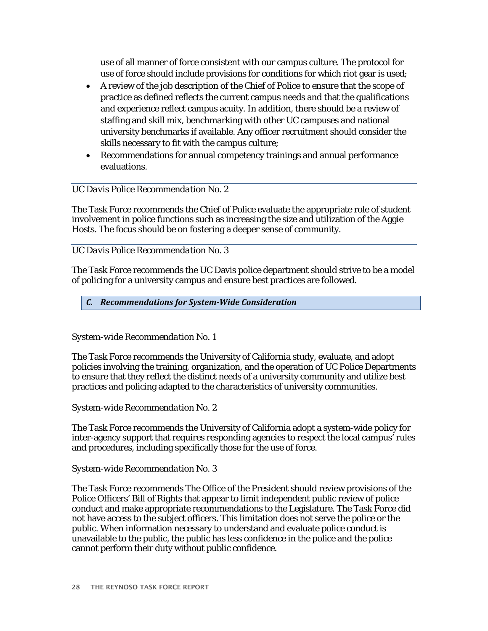use of all manner of force consistent with our campus culture. The protocol for use of force should include provisions for conditions for which riot gear is used;

- A review of the job description of the Chief of Police to ensure that the scope of practice as defined reflects the current campus needs and that the qualifications and experience reflect campus acuity. In addition, there should be a review of staffing and skill mix, benchmarking with other UC campuses and national university benchmarks if available. Any officer recruitment should consider the skills necessary to fit with the campus culture;
- Recommendations for annual competency trainings and annual performance evaluations.

## *UC Davis Police Recommendation No. 2*

The Task Force recommends the Chief of Police evaluate the appropriate role of student involvement in police functions such as increasing the size and utilization of the Aggie Hosts. The focus should be on fostering a deeper sense of community.

### *UC Davis Police Recommendation No. 3*

The Task Force recommends the UC Davis police department should strive to be a model of policing for a university campus and ensure best practices are followed.

### *C. Recommendations for System-Wide Consideration*

#### *System-wide Recommendation No. 1*

The Task Force recommends the University of California study, evaluate, and adopt policies involving the training, organization, and the operation of UC Police Departments to ensure that they reflect the distinct needs of a university community and utilize best practices and policing adapted to the characteristics of university communities.

*System-wide Recommendation No. 2*

The Task Force recommends the University of California adopt a system-wide policy for inter-agency support that requires responding agencies to respect the local campus' rules and procedures, including specifically those for the use of force.

#### *System-wide Recommendation No. 3*

The Task Force recommends The Office of the President should review provisions of the Police Officers' Bill of Rights that appear to limit independent public review of police conduct and make appropriate recommendations to the Legislature. The Task Force did not have access to the subject officers. This limitation does not serve the police or the public. When information necessary to understand and evaluate police conduct is unavailable to the public, the public has less confidence in the police and the police cannot perform their duty without public confidence.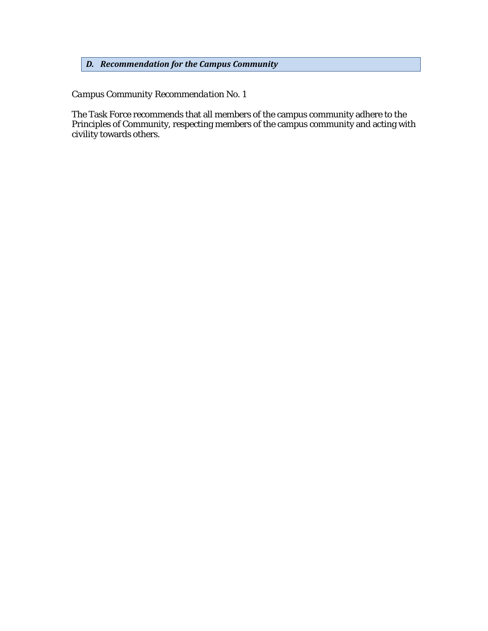## *D. Recommendation for the Campus Community*

## *Campus Community Recommendation No. 1*

The Task Force recommends that all members of the campus community adhere to the Principles of Community, respecting members of the campus community and acting with civility towards others.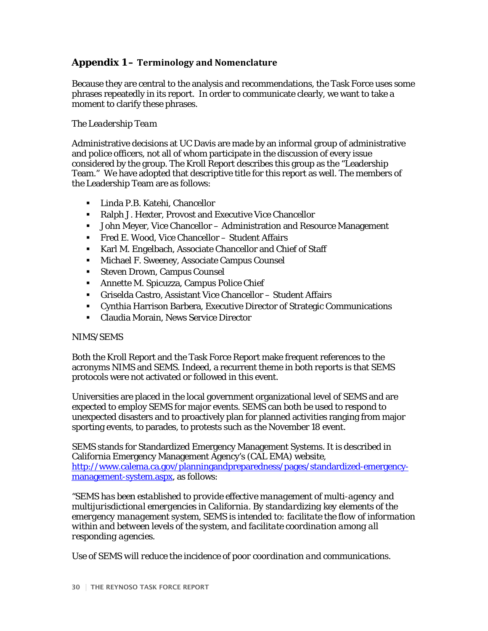## **Appendix 1 – Terminology and Nomenclature**

Because they are central to the analysis and recommendations, the Task Force uses some phrases repeatedly in its report. In order to communicate clearly, we want to take a moment to clarify these phrases.

## *The Leadership Team*

Administrative decisions at UC Davis are made by an informal group of administrative and police officers, not all of whom participate in the discussion of every issue considered by the group. The Kroll Report describes this group as the "Leadership Team." We have adopted that descriptive title for this report as well. The members of the Leadership Team are as follows:

- Linda P.B. Katehi, Chancellor
- Ralph J. Hexter, Provost and Executive Vice Chancellor
- John Meyer, Vice Chancellor Administration and Resource Management
- Fred E. Wood, Vice Chancellor Student Affairs
- Karl M. Engelbach, Associate Chancellor and Chief of Staff
- **Michael F. Sweeney, Associate Campus Counsel**
- **Steven Drown, Campus Counsel**
- Annette M. Spicuzza, Campus Police Chief
- Griselda Castro, Assistant Vice Chancellor Student Affairs
- Cynthia Harrison Barbera, Executive Director of Strategic Communications
- Claudia Morain, News Service Director

#### *NIMS/SEMS*

Both the Kroll Report and the Task Force Report make frequent references to the acronyms NIMS and SEMS. Indeed, a recurrent theme in both reports is that SEMS protocols were not activated or followed in this event.

Universities are placed in the local government organizational level of SEMS and are expected to employ SEMS for major events. SEMS can both be used to respond to unexpected disasters and to proactively plan for planned activities ranging from major sporting events, to parades, to protests such as the November 18 event.

SEMS stands for Standardized Emergency Management Systems. It is described in California Emergency Management Agency's (CAL EMA) website, [http://www.calema.ca.gov/planningandpreparedness/pages/standardized-emergency](http://www.calema.ca.gov/planningandpreparedness/pages/standardized-emergency-management-system.aspx)[management-system.aspx,](http://www.calema.ca.gov/planningandpreparedness/pages/standardized-emergency-management-system.aspx) as follows:

*"SEMS has been established to provide effective management of multi-agency and multijurisdictional emergencies in California. By standardizing key elements of the emergency management system, SEMS is intended to: facilitate the flow of information within and between levels of the system, and facilitate coordination among all responding agencies.* 

*Use of SEMS will reduce the incidence of poor coordination and communications.*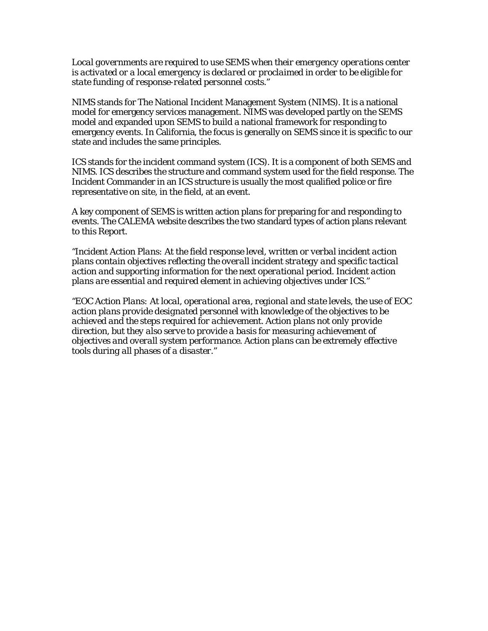*Local governments are required to use SEMS when their emergency operations center is activated or a local emergency is declared or proclaimed in order to be eligible for state funding of response-related personnel costs.*"

NIMS stands for The National Incident Management System (NIMS). It is a national model for emergency services management. NIMS was developed partly on the SEMS model and expanded upon SEMS to build a national framework for responding to emergency events. In California, the focus is generally on SEMS since it is specific to our state and includes the same principles.

ICS stands for the incident command system (ICS). It is a component of both SEMS and NIMS. ICS describes the structure and command system used for the field response. The Incident Commander in an ICS structure is usually the most qualified police or fire representative on site, in the field, at an event.

A key component of SEMS is written action plans for preparing for and responding to events. The CALEMA website describes the two standard types of action plans relevant to this Report.

*"Incident Action Plans: At the field response level, written or verbal incident action plans contain objectives reflecting the overall incident strategy and specific tactical action and supporting information for the next operational period. Incident action plans are essential and required element in achieving objectives under ICS."*

*"EOC Action Plans: At local, operational area, regional and state levels, the use of EOC action plans provide designated personnel with knowledge of the objectives to be achieved and the steps required for achievement. Action plans not only provide direction, but they also serve to provide a basis for measuring achievement of objectives and overall system performance. Action plans can be extremely effective tools during all phases of a disaster."*